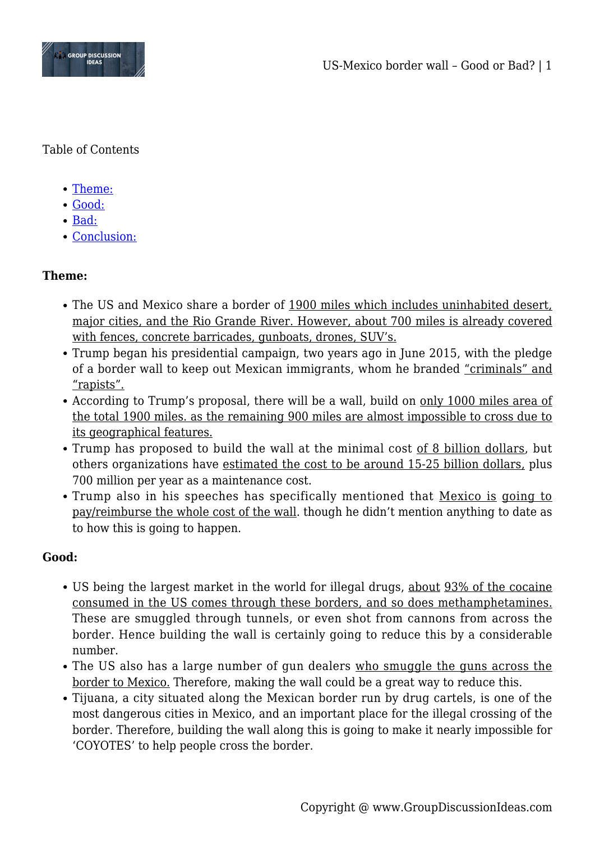

Table of Contents

- [Theme:](#page--1-0)
- [Good:](#page--1-0)
- [Bad:](#page--1-0)
- [Conclusion:](#page--1-0)

# **Theme:**

- The US and Mexico share a border of 1900 miles which includes uninhabited desert, major cities, and the Rio Grande River. However, about 700 miles is already covered with fences, concrete barricades, gunboats, drones, SUV's.
- Trump began his presidential campaign, two years ago in June 2015, with the pledge of a border wall to keep out Mexican immigrants, whom he branded "criminals" and "rapists".
- According to Trump's proposal, there will be a wall, build on only 1000 miles area of the total 1900 miles. as the remaining 900 miles are almost impossible to cross due to its geographical features.
- Trump has proposed to build the wall at the minimal cost of 8 billion dollars, but others organizations have estimated the cost to be around 15-25 billion dollars, plus 700 million per year as a maintenance cost.
- Trump also in his speeches has specifically mentioned that Mexico is going to pay/reimburse the whole cost of the wall. though he didn't mention anything to date as to how this is going to happen.

## **Good:**

- US being the largest market in the world for illegal drugs, about 93% of the cocaine consumed in the US comes through these borders, and so does methamphetamines. These are smuggled through tunnels, or even shot from cannons from across the border. Hence building the wall is certainly going to reduce this by a considerable number.
- The US also has a large number of gun dealers who smuggle the guns across the border to Mexico. Therefore, making the wall could be a great way to reduce this.
- Tijuana, a city situated along the Mexican border run by drug cartels, is one of the most dangerous cities in Mexico, and an important place for the illegal crossing of the border. Therefore, building the wall along this is going to make it nearly impossible for 'COYOTES' to help people cross the border.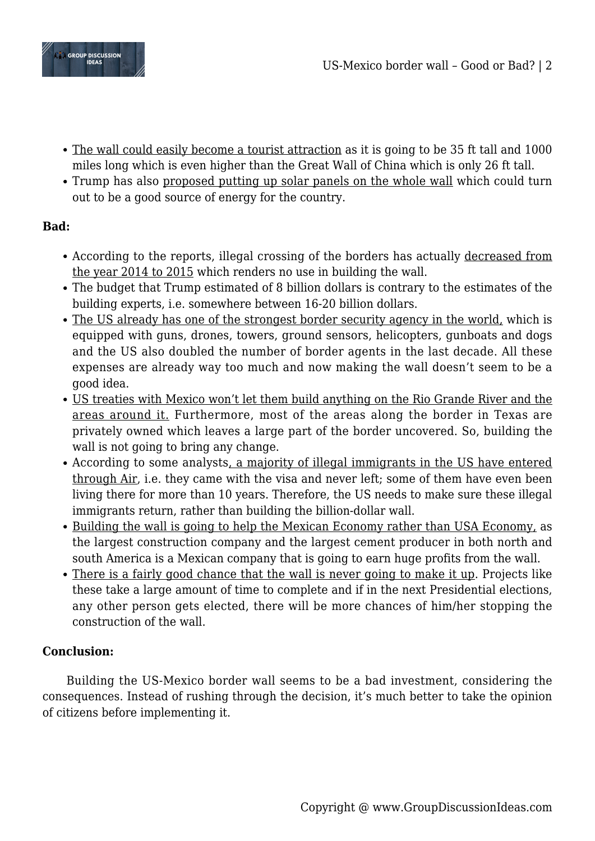

- The wall could easily become a tourist attraction as it is going to be 35 ft tall and 1000 miles long which is even higher than the Great Wall of China which is only 26 ft tall.
- Trump has also proposed putting up solar panels on the whole wall which could turn out to be a good source of energy for the country.

# **Bad:**

- According to the reports, illegal crossing of the borders has actually decreased from the year 2014 to 2015 which renders no use in building the wall.
- The budget that Trump estimated of 8 billion dollars is contrary to the estimates of the building experts, i.e. somewhere between 16-20 billion dollars.
- The US already has one of the strongest border security agency in the world, which is equipped with guns, drones, towers, ground sensors, helicopters, gunboats and dogs and the US also doubled the number of border agents in the last decade. All these expenses are already way too much and now making the wall doesn't seem to be a good idea.
- US treaties with Mexico won't let them build anything on the Rio Grande River and the areas around it. Furthermore, most of the areas along the border in Texas are privately owned which leaves a large part of the border uncovered. So, building the wall is not going to bring any change.
- According to some analysts, a majority of illegal immigrants in the US have entered through Air, i.e. they came with the visa and never left; some of them have even been living there for more than 10 years. Therefore, the US needs to make sure these illegal immigrants return, rather than building the billion-dollar wall.
- Building the wall is going to help the Mexican Economy rather than USA Economy, as the largest construction company and the largest cement producer in both north and south America is a Mexican company that is going to earn huge profits from the wall.
- There is a fairly good chance that the wall is never going to make it up. Projects like these take a large amount of time to complete and if in the next Presidential elections, any other person gets elected, there will be more chances of him/her stopping the construction of the wall.

## **Conclusion:**

Building the US-Mexico border wall seems to be a bad investment, considering the consequences. Instead of rushing through the decision, it's much better to take the opinion of citizens before implementing it.